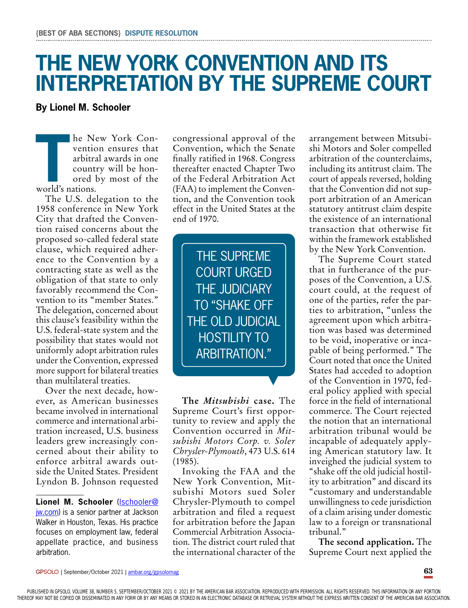## **THE NEW YORK CONVENTION AND ITS INTERPRETATION BY THE SUPREME COURT**

## **By Lionel M. Schooler**

**THE SET UP:**<br> **THE SET UP:**<br> **THE SET UP:**<br> **THE SET UP:**<br> **THE SET UP:**<br> **THE SET UP:**<br> **THE SET UP:**<br> **THE SET UP:**<br> **THE SET UP:**<br> **THE SET UP:**<br> **THE SET UP:**<br> **THE SET UP:** he New York Convention ensures that arbitral awards in one country will be honored by most of the

The U.S. delegation to the 1958 conference in New York City that drafted the Convention raised concerns about the proposed so-called federal state clause, which required adherence to the Convention by a contracting state as well as the obligation of that state to only favorably recommend the Convention to its "member States." The delegation, concerned about this clause's feasibility within the U.S. federal-state system and the possibility that states would not uniformly adopt arbitration rules under the Convention, expressed more support for bilateral treaties than multilateral treaties.

Over the next decade, however, as American businesses became involved in international commerce and international arbitration increased, U.S. business leaders grew increasingly concerned about their ability to enforce arbitral awards outside the United States. President Lyndon B. Johnson requested

**Lionel M. Schooler** ([lschooler@](mailto:lschooler@jw.com) [jw.com](mailto:lschooler@jw.com)) is a senior partner at Jackson Walker in Houston, Texas. His practice focuses on employment law, federal appellate practice, and business arbitration.

congressional approval of the Convention, which the Senate finally ratified in 1968. Congress thereafter enacted Chapter Two of the Federal Arbitration Act (FAA) to implement the Convention, and the Convention took effect in the United States at the end of 1970.

> THE SUPREME COURT URGED THE JUDICIARY TO "SHAKE OFF THE OLD JUDICIAL HOSTILITY TO ARBITRATION."

**The** *Mitsubishi* **case.** The Supreme Court's first opportunity to review and apply the Convention occurred in *Mitsubishi Motors Corp. v. Soler Chrysler-Plymouth*, 473 U.S. 614 (1985).

▼

Invoking the FAA and the New York Convention, Mitsubishi Motors sued Soler Chrysler-Plymouth to compel arbitration and filed a request for arbitration before the Japan Commercial Arbitration Association. The district court ruled that the international character of the

arrangement between Mitsubishi Motors and Soler compelled arbitration of the counterclaims, including its antitrust claim. The court of appeals reversed, holding that the Convention did not support arbitration of an American statutory antitrust claim despite the existence of an international transaction that otherwise fit within the framework established by the New York Convention.

The Supreme Court stated that in furtherance of the purposes of the Convention, a U.S. court could, at the request of one of the parties, refer the parties to arbitration, "unless the agreement upon which arbitration was based was determined to be void, inoperative or incapable of being performed." The Court noted that once the United States had acceded to adoption of the Convention in 1970, federal policy applied with special force in the field of international commerce. The Court rejected the notion that an international arbitration tribunal would be incapable of adequately applying American statutory law. It inveighed the judicial system to "shake off the old judicial hostility to arbitration" and discard its "customary and understandable unwillingness to cede jurisdiction of a claim arising under domestic law to a foreign or transnational tribunal."

**The second application.** The Supreme Court next applied the